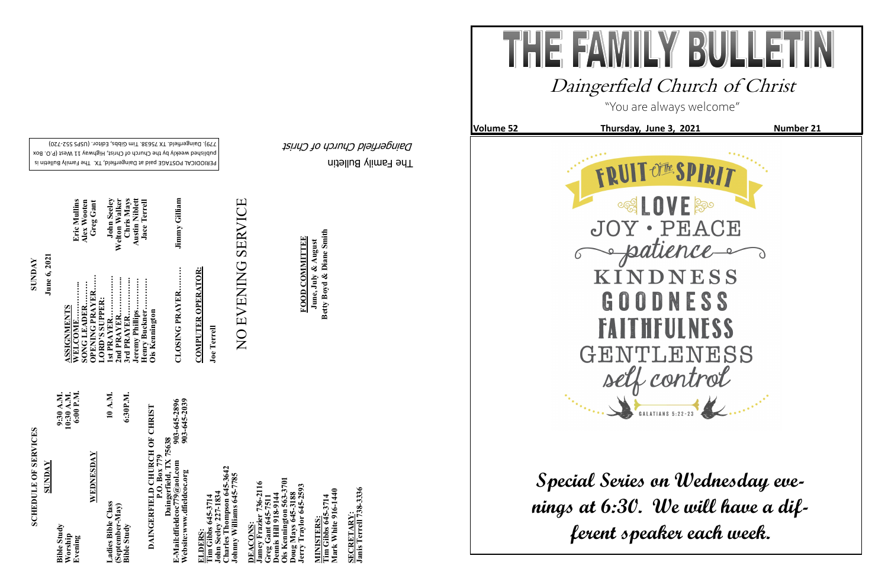The Family Bulletin

TH

E.

Daingerfield Church of Christ

# **SCHEDULE OF SERVICES SCHEDULE OF SERVICES**

PERIODICAL POSTAGE paid at Daingerfield, TX. The Family Bulletin is published weekly by the Church of Christ, Highway 11 West (P.O. Box 720) - 779). Daingerfield. TX 75638. Tim Gibbs, Editor. (USPS 552

> 903-645-2896<br>903-645-2039 **Website:www.dfieldcoc.org 903-645-2039 E-Mail:dfieldcoc779@aol.com 903-645-2896 DAINGERFIELD CHURCH OF CHRIST**<br>P.O. Box 779<br>B-Mail:dfieldcoc779@aol.com<br>Website:www.dfieldcoc.org<br>Website:www.dfieldcoc.org **DAINGERFIELD CHURCH OF CHRIST Daingerfield, TX 75638**

**ELDERS:**<br>Tim Gibbs 645-3714<br>John Seeley 227-1834<br>Charles Thompson 645-2<br>Johnny Williams 645-77 **John Seeley 227-1834 Charles Thompson 645-3642 Johnny Williams 645-7785** 

| SUNDAY                                   |                                      |
|------------------------------------------|--------------------------------------|
| <b>Bible Study</b><br>Worship<br>Evening | 6:00 P.M.<br>10:30 A.M.<br>9:30 A.M. |
| WEDNESDAY                                |                                      |
| Ladies Bible Class                       | 10 A.M.                              |
| (September-May)<br><b>Bible Study</b>    | 6:30P.M.                             |

**Ois Kennington 563-3701 Jamey Frazier 736-2116**  736-2116 **Jerry Traylor 645-2593 Greg Gant 645-7511 Dennis Hill 918-9144 Doug Mays 645-3188** oug Mays 645-31<br>erry Traylor 645ennis Hill 918-91<br>is Kennington 50 **DEACONS: DEACONS** mey Fraz<br>reg Gant

Tim Gibbs 645-3714<br>Mark White 916-1440 **Mark White 916-1440 Tim Gibbs 645-3714 MINISTERS: MINISTERS:** 

SECRETARY:<br>Janis Terrell 738-3336 **Janis Terrell 738-3336 SECRETARY:**

**Tim Gibbs 645-3714** 

**CLOSING PRAYER……… Jimmy Gilliam**  Jimmy Gilliam CLOSING PRAYER.........

**COMPUTER OPERATOR: COMPUTER OPERATOR:**

# NO EVENING SERVICE NO EVENING SERVICE

June, July & August<br>Betty Boyd & Diane Smith **Betty Boyd & Diane Smith FOOD COMMITTEE FOOD COMMITTEE June, July & August**

**SUNDAY June 6, 2021**

| Eric Mullins           | Alex Wooten<br><b>Greg Gant</b> |                | <b>John Seeley</b> | <b>Welton Walker</b> | Chris Mays | <b>Austin Niblett</b> | <b>Jace Terrell</b> |                       |
|------------------------|---------------------------------|----------------|--------------------|----------------------|------------|-----------------------|---------------------|-----------------------|
| ASSIGNMENTS<br>WELCOME | OPENING PRAYER<br>SONG LEADER   | LORD'S SUPPER: | 1st PRAYER         | 2nd PRAYER           | 3rd PRAYER | Jeremy Phillips       | Henry Buckner       | <b>Ois Kennington</b> |

| <b>Eric Mullins</b>                | Alex Wooten | <b>Greg Gant</b> |                | John Seeley | <b>Welton Walker</b> | Chris Mays | <b>Austin Niblett</b> | <b>Jace Terrell</b> |       |
|------------------------------------|-------------|------------------|----------------|-------------|----------------------|------------|-----------------------|---------------------|-------|
| $\frac{\mathrm{ENTS}}{\mathrm{E}}$ | ADER        | PRAYER           | <b>SUPPER:</b> | ER          | <b>ER</b>            |            | illips…………            | :kner               | noton |

**Joe Terrell**

"You are always welcome"

**Volume 52** Thursday, June 3, 2021 Number 21

## Daingerfield Church of Christ

**Special Series on Wednesday evenings at 6:30. We will have a dif-**

**ferent speaker each week.**